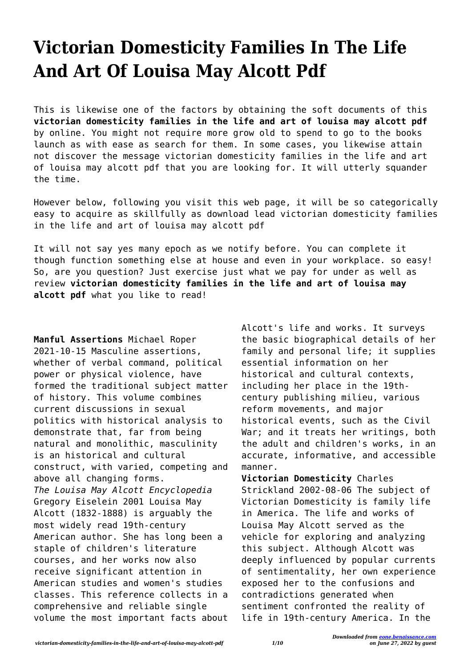## **Victorian Domesticity Families In The Life And Art Of Louisa May Alcott Pdf**

This is likewise one of the factors by obtaining the soft documents of this **victorian domesticity families in the life and art of louisa may alcott pdf** by online. You might not require more grow old to spend to go to the books launch as with ease as search for them. In some cases, you likewise attain not discover the message victorian domesticity families in the life and art of louisa may alcott pdf that you are looking for. It will utterly squander the time.

However below, following you visit this web page, it will be so categorically easy to acquire as skillfully as download lead victorian domesticity families in the life and art of louisa may alcott pdf

It will not say yes many epoch as we notify before. You can complete it though function something else at house and even in your workplace. so easy! So, are you question? Just exercise just what we pay for under as well as review **victorian domesticity families in the life and art of louisa may alcott pdf** what you like to read!

**Manful Assertions** Michael Roper 2021-10-15 Masculine assertions, whether of verbal command, political power or physical violence, have formed the traditional subject matter of history. This volume combines current discussions in sexual politics with historical analysis to demonstrate that, far from being natural and monolithic, masculinity is an historical and cultural construct, with varied, competing and above all changing forms. *The Louisa May Alcott Encyclopedia* Gregory Eiselein 2001 Louisa May Alcott (1832-1888) is arguably the most widely read 19th-century American author. She has long been a staple of children's literature courses, and her works now also receive significant attention in American studies and women's studies classes. This reference collects in a comprehensive and reliable single volume the most important facts about Alcott's life and works. It surveys the basic biographical details of her family and personal life; it supplies essential information on her historical and cultural contexts, including her place in the 19thcentury publishing milieu, various reform movements, and major historical events, such as the Civil War; and it treats her writings, both the adult and children's works, in an accurate, informative, and accessible manner.

**Victorian Domesticity** Charles Strickland 2002-08-06 The subject of Victorian Domesticity is family life in America. The life and works of Louisa May Alcott served as the vehicle for exploring and analyzing this subject. Although Alcott was deeply influenced by popular currents of sentimentality, her own experience exposed her to the confusions and contradictions generated when sentiment confronted the reality of life in 19th-century America. In the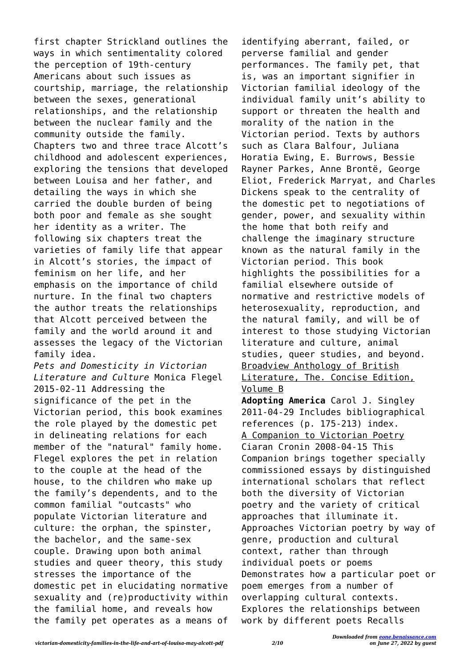first chapter Strickland outlines the ways in which sentimentality colored the perception of 19th-century Americans about such issues as courtship, marriage, the relationship between the sexes, generational relationships, and the relationship between the nuclear family and the community outside the family. Chapters two and three trace Alcott's childhood and adolescent experiences, exploring the tensions that developed between Louisa and her father, and detailing the ways in which she carried the double burden of being both poor and female as she sought her identity as a writer. The following six chapters treat the varieties of family life that appear in Alcott's stories, the impact of feminism on her life, and her emphasis on the importance of child nurture. In the final two chapters the author treats the relationships that Alcott perceived between the family and the world around it and assesses the legacy of the Victorian family idea.

*Pets and Domesticity in Victorian Literature and Culture* Monica Flegel 2015-02-11 Addressing the significance of the pet in the Victorian period, this book examines the role played by the domestic pet in delineating relations for each member of the "natural" family home. Flegel explores the pet in relation to the couple at the head of the house, to the children who make up the family's dependents, and to the common familial "outcasts" who populate Victorian literature and culture: the orphan, the spinster, the bachelor, and the same-sex couple. Drawing upon both animal studies and queer theory, this study stresses the importance of the domestic pet in elucidating normative sexuality and (re)productivity within the familial home, and reveals how the family pet operates as a means of

identifying aberrant, failed, or perverse familial and gender performances. The family pet, that is, was an important signifier in Victorian familial ideology of the individual family unit's ability to support or threaten the health and morality of the nation in the Victorian period. Texts by authors such as Clara Balfour, Juliana Horatia Ewing, E. Burrows, Bessie Rayner Parkes, Anne Brontë, George Eliot, Frederick Marryat, and Charles Dickens speak to the centrality of the domestic pet to negotiations of gender, power, and sexuality within the home that both reify and challenge the imaginary structure known as the natural family in the Victorian period. This book highlights the possibilities for a familial elsewhere outside of normative and restrictive models of heterosexuality, reproduction, and the natural family, and will be of interest to those studying Victorian literature and culture, animal studies, queer studies, and beyond. Broadview Anthology of British Literature, The. Concise Edition, Volume B

**Adopting America** Carol J. Singley 2011-04-29 Includes bibliographical references (p. 175-213) index. A Companion to Victorian Poetry Ciaran Cronin 2008-04-15 This Companion brings together specially commissioned essays by distinguished international scholars that reflect both the diversity of Victorian poetry and the variety of critical approaches that illuminate it. Approaches Victorian poetry by way of genre, production and cultural context, rather than through individual poets or poems Demonstrates how a particular poet or poem emerges from a number of overlapping cultural contexts. Explores the relationships between work by different poets Recalls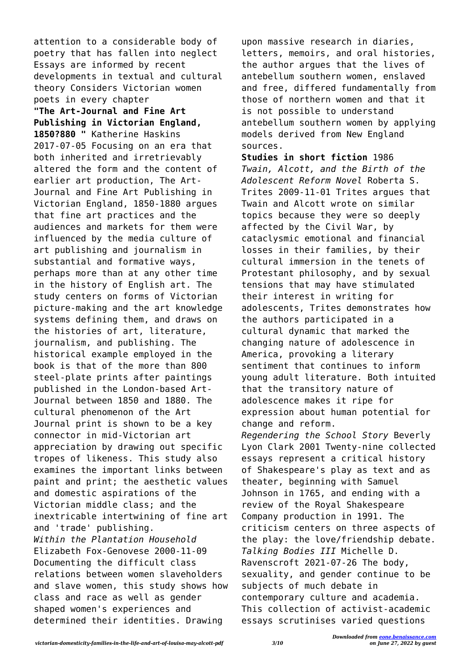attention to a considerable body of poetry that has fallen into neglect Essays are informed by recent developments in textual and cultural theory Considers Victorian women poets in every chapter **"The Art-Journal and Fine Art Publishing in Victorian England, 1850?880 "** Katherine Haskins 2017-07-05 Focusing on an era that both inherited and irretrievably altered the form and the content of earlier art production, The Art-Journal and Fine Art Publishing in Victorian England, 1850-1880 argues that fine art practices and the audiences and markets for them were influenced by the media culture of art publishing and journalism in substantial and formative ways, perhaps more than at any other time in the history of English art. The study centers on forms of Victorian picture-making and the art knowledge systems defining them, and draws on the histories of art, literature, journalism, and publishing. The historical example employed in the book is that of the more than 800 steel-plate prints after paintings published in the London-based Art-Journal between 1850 and 1880. The cultural phenomenon of the Art Journal print is shown to be a key connector in mid-Victorian art appreciation by drawing out specific tropes of likeness. This study also examines the important links between paint and print; the aesthetic values and domestic aspirations of the Victorian middle class; and the inextricable intertwining of fine art and 'trade' publishing. *Within the Plantation Household* Elizabeth Fox-Genovese 2000-11-09 Documenting the difficult class relations between women slaveholders and slave women, this study shows how class and race as well as gender shaped women's experiences and determined their identities. Drawing

upon massive research in diaries, letters, memoirs, and oral histories, the author argues that the lives of antebellum southern women, enslaved and free, differed fundamentally from those of northern women and that it is not possible to understand antebellum southern women by applying models derived from New England sources.

**Studies in short fiction** 1986 *Twain, Alcott, and the Birth of the Adolescent Reform Novel* Roberta S. Trites 2009-11-01 Trites argues that Twain and Alcott wrote on similar topics because they were so deeply affected by the Civil War, by cataclysmic emotional and financial losses in their families, by their cultural immersion in the tenets of Protestant philosophy, and by sexual tensions that may have stimulated their interest in writing for adolescents, Trites demonstrates how the authors participated in a cultural dynamic that marked the changing nature of adolescence in America, provoking a literary sentiment that continues to inform young adult literature. Both intuited that the transitory nature of adolescence makes it ripe for expression about human potential for change and reform. *Regendering the School Story* Beverly Lyon Clark 2001 Twenty-nine collected essays represent a critical history of Shakespeare's play as text and as theater, beginning with Samuel Johnson in 1765, and ending with a review of the Royal Shakespeare Company production in 1991. The criticism centers on three aspects of the play: the love/friendship debate. *Talking Bodies III* Michelle D. Ravenscroft 2021-07-26 The body, sexuality, and gender continue to be subjects of much debate in contemporary culture and academia. This collection of activist-academic essays scrutinises varied questions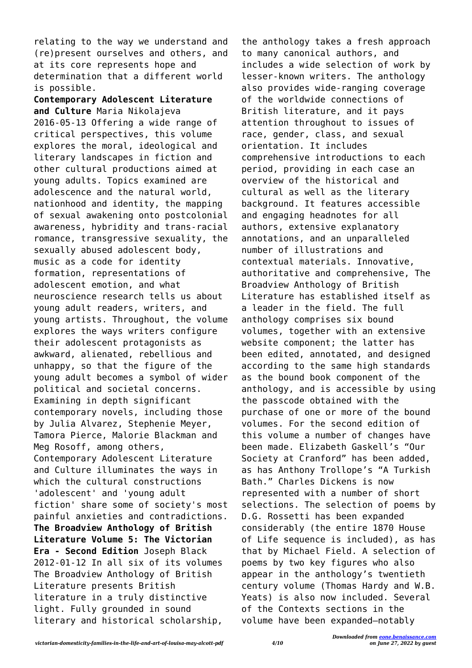relating to the way we understand and (re)present ourselves and others, and at its core represents hope and determination that a different world is possible.

**Contemporary Adolescent Literature and Culture** Maria Nikolajeva 2016-05-13 Offering a wide range of critical perspectives, this volume explores the moral, ideological and literary landscapes in fiction and other cultural productions aimed at young adults. Topics examined are adolescence and the natural world, nationhood and identity, the mapping of sexual awakening onto postcolonial awareness, hybridity and trans-racial romance, transgressive sexuality, the sexually abused adolescent body, music as a code for identity formation, representations of adolescent emotion, and what neuroscience research tells us about young adult readers, writers, and young artists. Throughout, the volume explores the ways writers configure their adolescent protagonists as awkward, alienated, rebellious and unhappy, so that the figure of the young adult becomes a symbol of wider political and societal concerns. Examining in depth significant contemporary novels, including those by Julia Alvarez, Stephenie Meyer, Tamora Pierce, Malorie Blackman and Meg Rosoff, among others, Contemporary Adolescent Literature and Culture illuminates the ways in which the cultural constructions 'adolescent' and 'young adult fiction' share some of society's most painful anxieties and contradictions. **The Broadview Anthology of British Literature Volume 5: The Victorian Era - Second Edition** Joseph Black 2012-01-12 In all six of its volumes The Broadview Anthology of British Literature presents British literature in a truly distinctive light. Fully grounded in sound literary and historical scholarship,

the anthology takes a fresh approach to many canonical authors, and includes a wide selection of work by lesser-known writers. The anthology also provides wide-ranging coverage of the worldwide connections of British literature, and it pays attention throughout to issues of race, gender, class, and sexual orientation. It includes comprehensive introductions to each period, providing in each case an overview of the historical and cultural as well as the literary background. It features accessible and engaging headnotes for all authors, extensive explanatory annotations, and an unparalleled number of illustrations and contextual materials. Innovative, authoritative and comprehensive, The Broadview Anthology of British Literature has established itself as a leader in the field. The full anthology comprises six bound volumes, together with an extensive website component; the latter has been edited, annotated, and designed according to the same high standards as the bound book component of the anthology, and is accessible by using the passcode obtained with the purchase of one or more of the bound volumes. For the second edition of this volume a number of changes have been made. Elizabeth Gaskell's "Our Society at Cranford" has been added, as has Anthony Trollope's "A Turkish Bath." Charles Dickens is now represented with a number of short selections. The selection of poems by D.G. Rossetti has been expanded considerably (the entire 1870 House of Life sequence is included), as has that by Michael Field. A selection of poems by two key figures who also appear in the anthology's twentieth century volume (Thomas Hardy and W.B. Yeats) is also now included. Several of the Contexts sections in the volume have been expanded—notably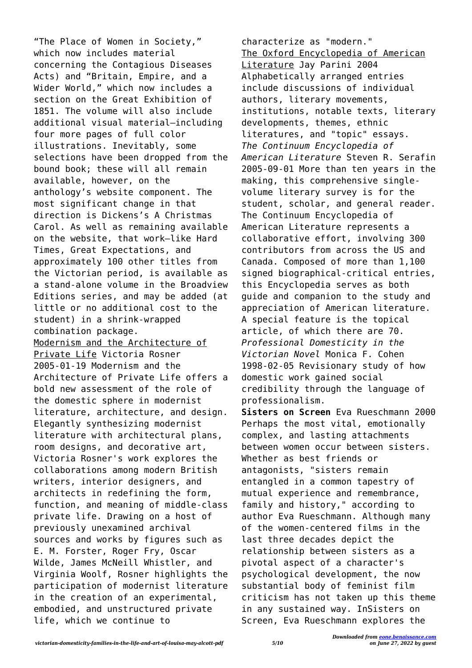"The Place of Women in Society," which now includes material concerning the Contagious Diseases Acts) and "Britain, Empire, and a Wider World," which now includes a section on the Great Exhibition of 1851. The volume will also include additional visual material—including four more pages of full color illustrations. Inevitably, some selections have been dropped from the bound book; these will all remain available, however, on the anthology's website component. The most significant change in that direction is Dickens's A Christmas Carol. As well as remaining available on the website, that work—like Hard Times, Great Expectations, and approximately 100 other titles from the Victorian period, is available as a stand-alone volume in the Broadview Editions series, and may be added (at little or no additional cost to the student) in a shrink-wrapped combination package. Modernism and the Architecture of Private Life Victoria Rosner 2005-01-19 Modernism and the Architecture of Private Life offers a bold new assessment of the role of the domestic sphere in modernist literature, architecture, and design. Elegantly synthesizing modernist literature with architectural plans, room designs, and decorative art, Victoria Rosner's work explores the collaborations among modern British writers, interior designers, and architects in redefining the form, function, and meaning of middle-class private life. Drawing on a host of previously unexamined archival sources and works by figures such as E. M. Forster, Roger Fry, Oscar Wilde, James McNeill Whistler, and Virginia Woolf, Rosner highlights the participation of modernist literature in the creation of an experimental, embodied, and unstructured private life, which we continue to

characterize as "modern." The Oxford Encyclopedia of American Literature Jay Parini 2004 Alphabetically arranged entries include discussions of individual authors, literary movements, institutions, notable texts, literary developments, themes, ethnic literatures, and "topic" essays. *The Continuum Encyclopedia of American Literature* Steven R. Serafin 2005-09-01 More than ten years in the making, this comprehensive singlevolume literary survey is for the student, scholar, and general reader. The Continuum Encyclopedia of American Literature represents a collaborative effort, involving 300 contributors from across the US and Canada. Composed of more than 1,100 signed biographical-critical entries, this Encyclopedia serves as both guide and companion to the study and appreciation of American literature. A special feature is the topical article, of which there are 70. *Professional Domesticity in the Victorian Novel* Monica F. Cohen 1998-02-05 Revisionary study of how domestic work gained social credibility through the language of professionalism. **Sisters on Screen** Eva Rueschmann 2000 Perhaps the most vital, emotionally complex, and lasting attachments between women occur between sisters. Whether as best friends or antagonists, "sisters remain entangled in a common tapestry of mutual experience and remembrance, family and history," according to author Eva Rueschmann. Although many of the women-centered films in the last three decades depict the relationship between sisters as a pivotal aspect of a character's psychological development, the now substantial body of feminist film criticism has not taken up this theme in any sustained way. InSisters on

Screen, Eva Rueschmann explores the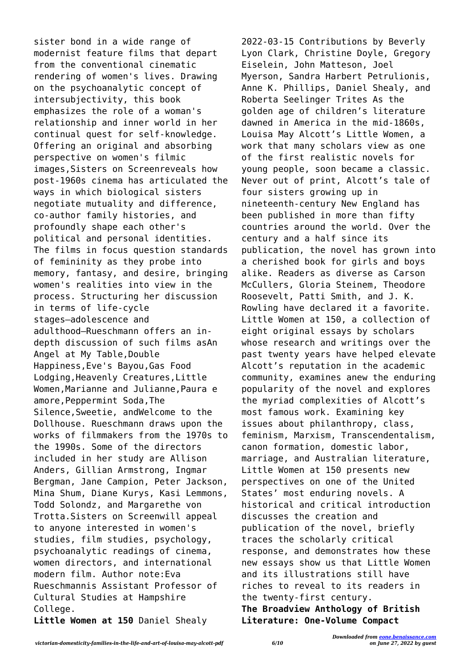sister bond in a wide range of modernist feature films that depart from the conventional cinematic rendering of women's lives. Drawing on the psychoanalytic concept of intersubjectivity, this book emphasizes the role of a woman's relationship and inner world in her continual quest for self-knowledge. Offering an original and absorbing perspective on women's filmic images,Sisters on Screenreveals how post-1960s cinema has articulated the ways in which biological sisters negotiate mutuality and difference, co-author family histories, and profoundly shape each other's political and personal identities. The films in focus question standards of femininity as they probe into memory, fantasy, and desire, bringing women's realities into view in the process. Structuring her discussion in terms of life-cycle stages—adolescence and adulthood—Rueschmann offers an indepth discussion of such films asAn Angel at My Table,Double Happiness,Eve's Bayou,Gas Food Lodging,Heavenly Creatures,Little Women,Marianne and Julianne,Paura e amore, Peppermint Soda, The Silence,Sweetie, andWelcome to the Dollhouse. Rueschmann draws upon the works of filmmakers from the 1970s to the 1990s. Some of the directors included in her study are Allison Anders, Gillian Armstrong, Ingmar Bergman, Jane Campion, Peter Jackson, Mina Shum, Diane Kurys, Kasi Lemmons, Todd Solondz, and Margarethe von Trotta.Sisters on Screenwill appeal to anyone interested in women's studies, film studies, psychology, psychoanalytic readings of cinema, women directors, and international modern film. Author note:Eva Rueschmannis Assistant Professor of Cultural Studies at Hampshire College. **Little Women at 150** Daniel Shealy

2022-03-15 Contributions by Beverly Lyon Clark, Christine Doyle, Gregory Eiselein, John Matteson, Joel Myerson, Sandra Harbert Petrulionis, Anne K. Phillips, Daniel Shealy, and Roberta Seelinger Trites As the golden age of children's literature dawned in America in the mid-1860s, Louisa May Alcott's Little Women, a work that many scholars view as one of the first realistic novels for young people, soon became a classic. Never out of print, Alcott's tale of four sisters growing up in nineteenth-century New England has been published in more than fifty countries around the world. Over the century and a half since its publication, the novel has grown into a cherished book for girls and boys alike. Readers as diverse as Carson McCullers, Gloria Steinem, Theodore Roosevelt, Patti Smith, and J. K. Rowling have declared it a favorite. Little Women at 150, a collection of eight original essays by scholars whose research and writings over the past twenty years have helped elevate Alcott's reputation in the academic community, examines anew the enduring popularity of the novel and explores the myriad complexities of Alcott's most famous work. Examining key issues about philanthropy, class, feminism, Marxism, Transcendentalism, canon formation, domestic labor, marriage, and Australian literature, Little Women at 150 presents new perspectives on one of the United States' most enduring novels. A historical and critical introduction discusses the creation and publication of the novel, briefly traces the scholarly critical response, and demonstrates how these new essays show us that Little Women and its illustrations still have riches to reveal to its readers in the twenty-first century. **The Broadview Anthology of British Literature: One-Volume Compact**

*victorian-domesticity-families-in-the-life-and-art-of-louisa-may-alcott-pdf 6/10*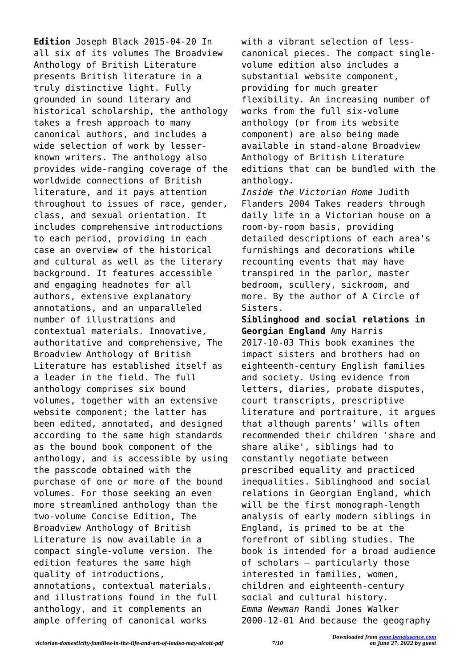**Edition** Joseph Black 2015-04-20 In all six of its volumes The Broadview Anthology of British Literature presents British literature in a truly distinctive light. Fully grounded in sound literary and historical scholarship, the anthology takes a fresh approach to many canonical authors, and includes a wide selection of work by lesserknown writers. The anthology also provides wide-ranging coverage of the worldwide connections of British literature, and it pays attention throughout to issues of race, gender, class, and sexual orientation. It includes comprehensive introductions to each period, providing in each case an overview of the historical and cultural as well as the literary background. It features accessible and engaging headnotes for all authors, extensive explanatory annotations, and an unparalleled number of illustrations and contextual materials. Innovative, authoritative and comprehensive, The Broadview Anthology of British Literature has established itself as a leader in the field. The full anthology comprises six bound volumes, together with an extensive website component; the latter has been edited, annotated, and designed according to the same high standards as the bound book component of the anthology, and is accessible by using the passcode obtained with the purchase of one or more of the bound volumes. For those seeking an even more streamlined anthology than the two-volume Concise Edition, The Broadview Anthology of British Literature is now available in a compact single-volume version. The edition features the same high quality of introductions, annotations, contextual materials, and illustrations found in the full anthology, and it complements an ample offering of canonical works

with a vibrant selection of lesscanonical pieces. The compact singlevolume edition also includes a substantial website component, providing for much greater flexibility. An increasing number of works from the full six-volume anthology (or from its website component) are also being made available in stand-alone Broadview Anthology of British Literature editions that can be bundled with the anthology.

*Inside the Victorian Home* Judith Flanders 2004 Takes readers through daily life in a Victorian house on a room-by-room basis, providing detailed descriptions of each area's furnishings and decorations while recounting events that may have transpired in the parlor, master bedroom, scullery, sickroom, and more. By the author of A Circle of Sisters.

**Siblinghood and social relations in Georgian England** Amy Harris 2017-10-03 This book examines the impact sisters and brothers had on eighteenth-century English families and society. Using evidence from letters, diaries, probate disputes, court transcripts, prescriptive literature and portraiture, it argues that although parents' wills often recommended their children 'share and share alike', siblings had to constantly negotiate between prescribed equality and practiced inequalities. Siblinghood and social relations in Georgian England, which will be the first monograph-length analysis of early modern siblings in England, is primed to be at the forefront of sibling studies. The book is intended for a broad audience of scholars – particularly those interested in families, women, children and eighteenth-century social and cultural history. *Emma Newman* Randi Jones Walker 2000-12-01 And because the geography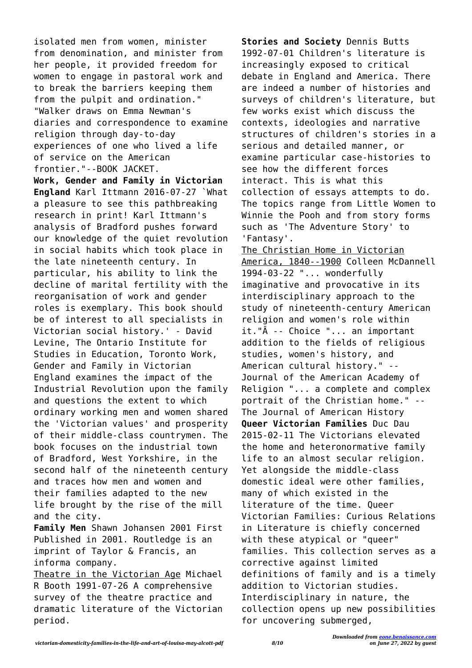isolated men from women, minister from denomination, and minister from her people, it provided freedom for women to engage in pastoral work and to break the barriers keeping them from the pulpit and ordination." "Walker draws on Emma Newman's diaries and correspondence to examine religion through day-to-day experiences of one who lived a life of service on the American frontier."--BOOK JACKET. **Work, Gender and Family in Victorian England** Karl Ittmann 2016-07-27 `What a pleasure to see this pathbreaking research in print! Karl Ittmann's analysis of Bradford pushes forward our knowledge of the quiet revolution in social habits which took place in the late nineteenth century. In particular, his ability to link the decline of marital fertility with the reorganisation of work and gender roles is exemplary. This book should be of interest to all specialists in Victorian social history.' - David Levine, The Ontario Institute for Studies in Education, Toronto Work, Gender and Family in Victorian England examines the impact of the Industrial Revolution upon the family and questions the extent to which ordinary working men and women shared the 'Victorian values' and prosperity of their middle-class countrymen. The book focuses on the industrial town of Bradford, West Yorkshire, in the second half of the nineteenth century and traces how men and women and their families adapted to the new life brought by the rise of the mill and the city. **Family Men** Shawn Johansen 2001 First

Published in 2001. Routledge is an imprint of Taylor & Francis, an informa company.

Theatre in the Victorian Age Michael R Booth 1991-07-26 A comprehensive survey of the theatre practice and dramatic literature of the Victorian period.

**Stories and Society** Dennis Butts 1992-07-01 Children's literature is increasingly exposed to critical debate in England and America. There are indeed a number of histories and surveys of children's literature, but few works exist which discuss the contexts, ideologies and narrative structures of children's stories in a serious and detailed manner, or examine particular case-histories to see how the different forces interact. This is what this collection of essays attempts to do. The topics range from Little Women to Winnie the Pooh and from story forms such as 'The Adventure Story' to 'Fantasy'.

The Christian Home in Victorian America, 1840--1900 Colleen McDannell 1994-03-22 "... wonderfully imaginative and provocative in its interdisciplinary approach to the study of nineteenth-century American religion and women's role within it."Â -- Choice "... an important addition to the fields of religious studies, women's history, and American cultural history." -- Journal of the American Academy of Religion "... a complete and complex portrait of the Christian home." -- The Journal of American History **Queer Victorian Families** Duc Dau 2015-02-11 The Victorians elevated the home and heteronormative family life to an almost secular religion. Yet alongside the middle-class domestic ideal were other families, many of which existed in the literature of the time. Queer Victorian Families: Curious Relations in Literature is chiefly concerned with these atypical or "queer" families. This collection serves as a corrective against limited definitions of family and is a timely addition to Victorian studies. Interdisciplinary in nature, the collection opens up new possibilities for uncovering submerged,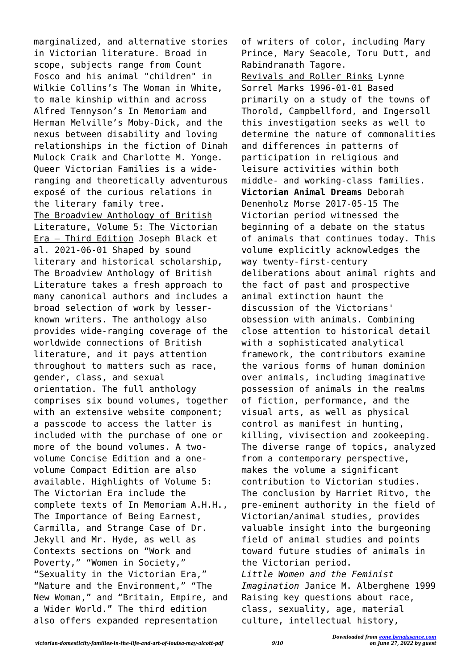marginalized, and alternative stories in Victorian literature. Broad in scope, subjects range from Count Fosco and his animal "children" in Wilkie Collins's The Woman in White, to male kinship within and across Alfred Tennyson's In Memoriam and Herman Melville's Moby-Dick, and the nexus between disability and loving relationships in the fiction of Dinah Mulock Craik and Charlotte M. Yonge. Queer Victorian Families is a wideranging and theoretically adventurous exposé of the curious relations in the literary family tree. The Broadview Anthology of British Literature, Volume 5: The Victorian Era – Third Edition Joseph Black et al. 2021-06-01 Shaped by sound literary and historical scholarship, The Broadview Anthology of British Literature takes a fresh approach to many canonical authors and includes a broad selection of work by lesserknown writers. The anthology also provides wide-ranging coverage of the worldwide connections of British literature, and it pays attention throughout to matters such as race, gender, class, and sexual orientation. The full anthology comprises six bound volumes, together with an extensive website component; a passcode to access the latter is included with the purchase of one or more of the bound volumes. A twovolume Concise Edition and a onevolume Compact Edition are also available. Highlights of Volume 5: The Victorian Era include the complete texts of In Memoriam A.H.H., The Importance of Being Earnest, Carmilla, and Strange Case of Dr. Jekyll and Mr. Hyde, as well as Contexts sections on "Work and Poverty," "Women in Society," "Sexuality in the Victorian Era," "Nature and the Environment," "The New Woman," and "Britain, Empire, and a Wider World." The third edition also offers expanded representation

of writers of color, including Mary Prince, Mary Seacole, Toru Dutt, and Rabindranath Tagore. Revivals and Roller Rinks Lynne Sorrel Marks 1996-01-01 Based primarily on a study of the towns of Thorold, Campbellford, and Ingersoll this investigation seeks as well to determine the nature of commonalities and differences in patterns of participation in religious and leisure activities within both middle- and working-class families. **Victorian Animal Dreams** Deborah Denenholz Morse 2017-05-15 The Victorian period witnessed the beginning of a debate on the status of animals that continues today. This volume explicitly acknowledges the way twenty-first-century deliberations about animal rights and the fact of past and prospective animal extinction haunt the discussion of the Victorians' obsession with animals. Combining close attention to historical detail with a sophisticated analytical framework, the contributors examine the various forms of human dominion over animals, including imaginative possession of animals in the realms of fiction, performance, and the visual arts, as well as physical control as manifest in hunting, killing, vivisection and zookeeping. The diverse range of topics, analyzed from a contemporary perspective, makes the volume a significant contribution to Victorian studies. The conclusion by Harriet Ritvo, the pre-eminent authority in the field of Victorian/animal studies, provides valuable insight into the burgeoning field of animal studies and points toward future studies of animals in the Victorian period. *Little Women and the Feminist Imagination* Janice M. Alberghene 1999 Raising key questions about race, class, sexuality, age, material culture, intellectual history,